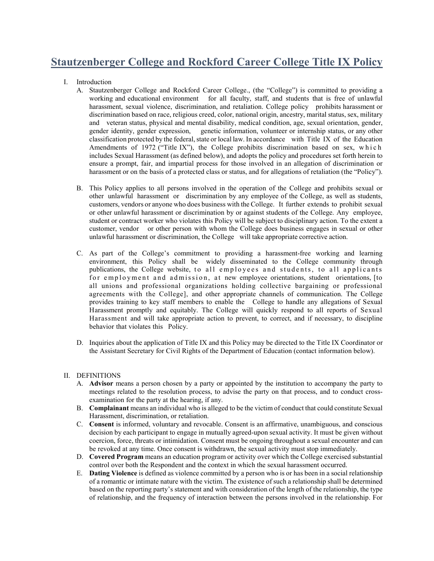## **Stautzenberger College and Rockford Career College Title IX Policy**

- I. Introduction
	- A. Stautzenberger College and Rockford Career College., (the "College") is committed to providing a working and educational environment for all faculty, staff, and students that is free of unlawful harassment, sexual violence, discrimination, and retaliation. College policy prohibits harassment or discrimination based on race, religious creed, color, national origin, ancestry, marital status, sex, military and veteran status, physical and mental disability, medical condition, age, sexual orientation, gender, gender identity, gender expression, genetic information, volunteer or internship status, or any other classification protected by the federal, state or local law. In accordance with Title IX of the Education Amendments of 1972 ("Title IX"), the College prohibits discrimination based on sex, which includes Sexual Harassment (as defined below), and adopts the policy and procedures set forth herein to ensure a prompt, fair, and impartial process for those involved in an allegation of discrimination or harassment or on the basis of a protected class or status, and for allegations of retaliation (the "Policy").
	- B. This Policy applies to all persons involved in the operation of the College and prohibits sexual or other unlawful harassment or discrimination by any employee of the College, as well as students, customers, vendors or anyone who does business with the College. It further extends to prohibit sexual or other unlawful harassment or discrimination by or against students of the College. Any employee, student or contract worker who violates this Policy will be subject to disciplinary action. To the extent a customer, vendor or other person with whom the College does business engages in sexual or other unlawful harassment or discrimination, the College will take appropriate corrective action.
	- C. As part of the College's commitment to providing a harassment-free working and learning environment, this Policy shall be widely disseminated to the College community through publications, the College website, to all employees and students, to all applicants for employment and admission, at new employee orientations, student orientations, [to all unions and professional organizations holding collective bargaining or professional agreements with the College], and other appropriate channels of communication. The College provides training to key staff members to enable the College to handle any allegations of Sexual Harassment promptly and equitably. The College will quickly respond to all reports of Sexual Harassment and will take appropriate action to prevent, to correct, and if necessary, to discipline behavior that violates this Policy.
	- D. Inquiries about the application of Title IX and this Policy may be directed to the Title IX Coordinator or the Assistant Secretary for Civil Rights of the Department of Education (contact information below).

## II. DEFINITIONS

- A. **Advisor** means a person chosen by a party or appointed by the institution to accompany the party to meetings related to the resolution process, to advise the party on that process, and to conduct crossexamination for the party at the hearing, if any.
- B. **Complainant** means an individual who is alleged to be the victim of conduct that could constitute Sexual Harassment, discrimination, or retaliation.
- C. **Consent** is informed, voluntary and revocable. Consent is an affirmative, unambiguous, and conscious decision by each participant to engage in mutually agreed-upon sexual activity. It must be given without coercion, force, threats or intimidation. Consent must be ongoing throughout a sexual encounter and can be revoked at any time. Once consent is withdrawn, the sexual activity must stop immediately.
- D. **Covered Program** means an education program or activity over which the College exercised substantial control over both the Respondent and the context in which the sexual harassment occurred.
- E. **Dating Violence** is defined as violence committed by a person who is or has been in a social relationship of a romantic or intimate nature with the victim. The existence of such a relationship shall be determined based on the reporting party's statement and with consideration of the length of the relationship, the type of relationship, and the frequency of interaction between the persons involved in the relationship. For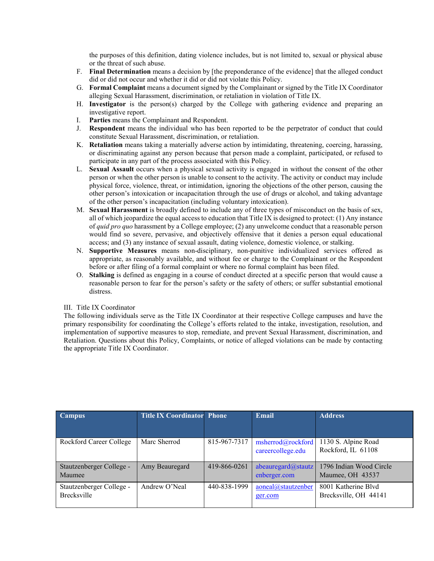the purposes of this definition, dating violence includes, but is not limited to, sexual or physical abuse or the threat of such abuse.

- F. **Final Determination** means a decision by [the preponderance of the evidence] that the alleged conduct did or did not occur and whether it did or did not violate this Policy.
- G. **Formal Complaint** means a document signed by the Complainant or signed by the Title IX Coordinator alleging Sexual Harassment, discrimination, or retaliation in violation of Title IX.
- H. **Investigator** is the person(s) charged by the College with gathering evidence and preparing an investigative report.
- I. **Parties** means the Complainant and Respondent.
- J. **Respondent** means the individual who has been reported to be the perpetrator of conduct that could constitute Sexual Harassment, discrimination, or retaliation.
- K. **Retaliation** means taking a materially adverse action by intimidating, threatening, coercing, harassing, or discriminating against any person because that person made a complaint, participated, or refused to participate in any part of the process associated with this Policy.
- L. **Sexual Assault** occurs when a physical sexual activity is engaged in without the consent of the other person or when the other person is unable to consent to the activity. The activity or conduct may include physical force, violence, threat, or intimidation, ignoring the objections of the other person, causing the other person's intoxication or incapacitation through the use of drugs or alcohol, and taking advantage of the other person's incapacitation (including voluntary intoxication).
- M. **Sexual Harassment** is broadly defined to include any of three types of misconduct on the basis of sex, all of which jeopardize the equal access to education that Title IX is designed to protect: (1) Any instance of *quid pro quo* harassment by a College employee; (2) any unwelcome conduct that a reasonable person would find so severe, pervasive, and objectively offensive that it denies a person equal educational access; and (3) any instance of sexual assault, dating violence, domestic violence, or stalking.
- N. **Supportive Measures** means non-disciplinary, non-punitive individualized services offered as appropriate, as reasonably available, and without fee or charge to the Complainant or the Respondent before or after filing of a formal complaint or where no formal complaint has been filed.
- O. **Stalking** is defined as engaging in a course of conduct directed at a specific person that would cause a reasonable person to fear for the person's safety or the safety of others; or suffer substantial emotional distress.

## III. Title IX Coordinator

The following individuals serve as the Title IX Coordinator at their respective College campuses and have the primary responsibility for coordinating the College's efforts related to the intake, investigation, resolution, and implementation of supportive measures to stop, remediate, and prevent Sexual Harassment, discrimination, and Retaliation. Questions about this Policy, Complaints, or notice of alleged violations can be made by contacting the appropriate Title IX Coordinator.

| <b>Campus</b>                                  | <b>Title IX Coordinator Phone</b> |              | Email                                  | <b>Address</b>                               |
|------------------------------------------------|-----------------------------------|--------------|----------------------------------------|----------------------------------------------|
| Rockford Career College                        | Marc Sherrod                      | 815-967-7317 | msherrod@rockford<br>careercollege.edu | 1130 S. Alpine Road<br>Rockford, IL 61108    |
| Stautzenberger College -<br>Maumee             | Amy Beauregard                    | 419-866-0261 | abeauregard $@$ stautz<br>enberger.com | 1796 Indian Wood Circle<br>Maumee, OH 43537  |
| Stautzenberger College -<br><b>Brecksville</b> | Andrew O'Neal                     | 440-838-1999 | aoneal@stautzenber<br>ger.com          | 8001 Katherine Blyd<br>Brecksville, OH 44141 |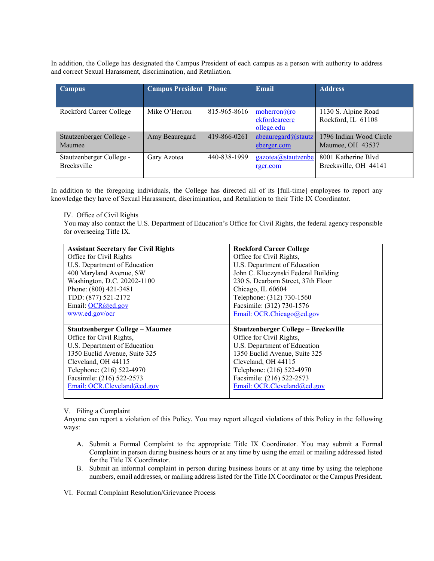In addition, the College has designated the Campus President of each campus as a person with authority to address and correct Sexual Harassment, discrimination, and Retaliation.

| <b>Campus</b>            | <b>Campus President</b> Phone |              | Email                  | <b>Address</b>          |
|--------------------------|-------------------------------|--------------|------------------------|-------------------------|
|                          |                               |              |                        |                         |
| Rockford Career College  | Mike O'Herron                 | 815-965-8616 | moherron(a)ro          | 1130 S. Alpine Road     |
|                          |                               |              | ckfordcareerc          | Rockford, IL 61108      |
|                          |                               |              | ollege.edu             |                         |
| Stautzenberger College - | Amy Beauregard                | 419-866-0261 | abeauregard $@$ stautz | 1796 Indian Wood Circle |
| Maumee                   |                               |              | eberger.com            | Maumee, OH 43537        |
| Stautzenberger College - | Gary Azotea                   | 440-838-1999 | gazotea@stautzenbe     | 8001 Katherine Blvd     |
| <b>Brecksville</b>       |                               |              | rger.com               | Brecksville, OH 44141   |

In addition to the foregoing individuals, the College has directed all of its [full-time] employees to report any knowledge they have of Sexual Harassment, discrimination, and Retaliation to their Title IX Coordinator.

IV. Office of Civil Rights

You may also contact the U.S. Department of Education's Office for Civil Rights, the federal agency responsible for overseeing Title IX.

| <b>Assistant Secretary for Civil Rights</b> | <b>Rockford Career College</b>       |
|---------------------------------------------|--------------------------------------|
| Office for Civil Rights                     | Office for Civil Rights,             |
| U.S. Department of Education                | U.S. Department of Education         |
| 400 Maryland Avenue, SW                     | John C. Kluczynski Federal Building  |
| Washington, D.C. 20202-1100                 | 230 S. Dearborn Street, 37th Floor   |
| Phone: (800) 421-3481                       | Chicago, IL 60604                    |
| TDD: (877) 521-2172                         | Telephone: (312) 730-1560            |
| Email: OCR@ed.gov                           | Facsimile: (312) 730-1576            |
| www.ed.gov/ocr                              | Email: OCR.Chicago@ed.gov            |
|                                             |                                      |
|                                             |                                      |
| <b>Stautzenberger College – Maumee</b>      | Stautzenberger College – Brecksville |
| Office for Civil Rights,                    | Office for Civil Rights,             |
| U.S. Department of Education                | U.S. Department of Education         |
| 1350 Euclid Avenue, Suite 325               | 1350 Euclid Avenue, Suite 325        |
| Cleveland, OH 44115                         | Cleveland, OH 44115                  |
| Telephone: (216) 522-4970                   | Telephone: (216) 522-4970            |
| Facsimile: (216) 522-2573                   | Facsimile: (216) 522-2573            |
| Email: OCR.Cleveland@ed.gov                 | Email: OCR.Cleveland@ed.gov          |

V. Filing a Complaint

Anyone can report a violation of this Policy. You may report alleged violations of this Policy in the following ways:

- A. Submit a Formal Complaint to the appropriate Title IX Coordinator. You may submit a Formal Complaint in person during business hours or at any time by using the email or mailing addressed listed for the Title IX Coordinator.
- B. Submit an informal complaint in person during business hours or at any time by using the telephone numbers, email addresses, or mailing address listed for the Title IX Coordinator or the Campus President.

VI. Formal Complaint Resolution/Grievance Process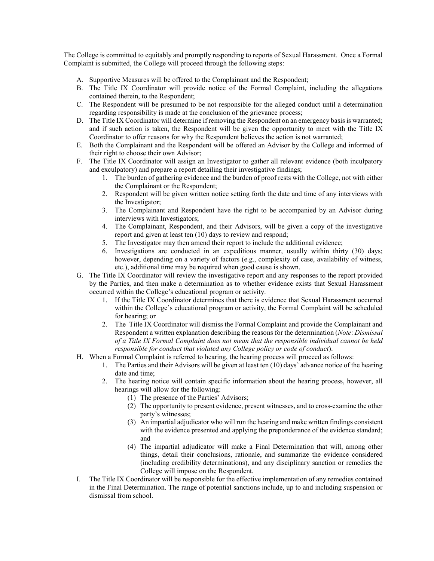The College is committed to equitably and promptly responding to reports of Sexual Harassment. Once a Formal Complaint is submitted, the College will proceed through the following steps:

- A. Supportive Measures will be offered to the Complainant and the Respondent;
- B. The Title IX Coordinator will provide notice of the Formal Complaint, including the allegations contained therein, to the Respondent;
- C. The Respondent will be presumed to be not responsible for the alleged conduct until a determination regarding responsibility is made at the conclusion of the grievance process;
- D. The Title IX Coordinator will determine if removing the Respondent on an emergency basis is warranted; and if such action is taken, the Respondent will be given the opportunity to meet with the Title IX Coordinator to offer reasons for why the Respondent believes the action is not warranted;
- E. Both the Complainant and the Respondent will be offered an Advisor by the College and informed of their right to choose their own Advisor;
- F. The Title IX Coordinator will assign an Investigator to gather all relevant evidence (both inculpatory and exculpatory) and prepare a report detailing their investigative findings;
	- 1. The burden of gathering evidence and the burden of proof rests with the College, not with either the Complainant or the Respondent;
	- 2. Respondent will be given written notice setting forth the date and time of any interviews with the Investigator;
	- 3. The Complainant and Respondent have the right to be accompanied by an Advisor during interviews with Investigators;
	- 4. The Complainant, Respondent, and their Advisors, will be given a copy of the investigative report and given at least ten (10) days to review and respond;
	- 5. The Investigator may then amend their report to include the additional evidence;
	- 6. Investigations are conducted in an expeditious manner, usually within thirty (30) days; however, depending on a variety of factors (e.g., complexity of case, availability of witness, etc.), additional time may be required when good cause is shown.
- G. The Title IX Coordinator will review the investigative report and any responses to the report provided by the Parties, and then make a determination as to whether evidence exists that Sexual Harassment occurred within the College's educational program or activity.
	- 1. If the Title IX Coordinator determines that there is evidence that Sexual Harassment occurred within the College's educational program or activity, the Formal Complaint will be scheduled for hearing; or
	- 2. The Title IX Coordinator will dismiss the Formal Complaint and provide the Complainant and Respondent a written explanation describing the reasons for the determination (*Note*: *Dismissal of a Title IX Formal Complaint does not mean that the responsible individual cannot be held responsible for conduct that violated any College policy or code of conduct*).
- H. When a Formal Complaint is referred to hearing, the hearing process will proceed as follows:
	- 1. The Parties and their Advisors will be given at least ten (10) days' advance notice of the hearing date and time;
	- 2. The hearing notice will contain specific information about the hearing process, however, all hearings will allow for the following:
		- (1) The presence of the Parties' Advisors;
		- (2) The opportunity to present evidence, present witnesses, and to cross-examine the other party's witnesses;
		- (3) An impartial adjudicator who will run the hearing and make written findings consistent with the evidence presented and applying the preponderance of the evidence standard; and
		- (4) The impartial adjudicator will make a Final Determination that will, among other things, detail their conclusions, rationale, and summarize the evidence considered (including credibility determinations), and any disciplinary sanction or remedies the College will impose on the Respondent.
- I. The Title IX Coordinator will be responsible for the effective implementation of any remedies contained in the Final Determination. The range of potential sanctions include, up to and including suspension or dismissal from school.